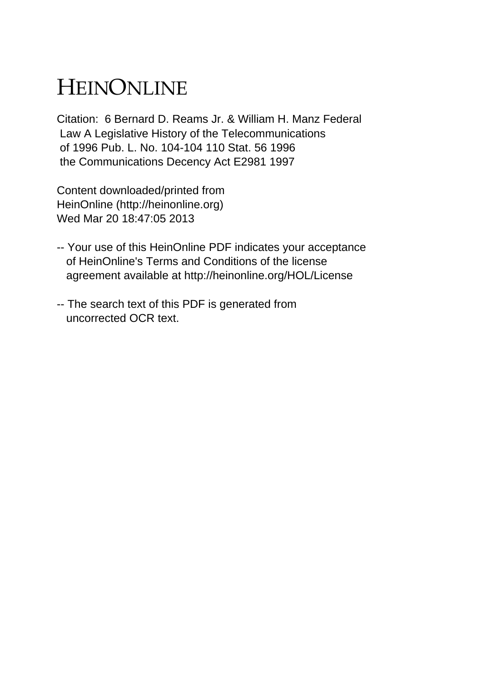# HEINONLINE

Citation: 6 Bernard D. Reams Jr. & William H. Manz Federal Law A Legislative History of the Telecommunications of 1996 Pub. L. No. 104-104 110 Stat. 56 1996 the Communications Decency Act E2981 1997

Content downloaded/printed from HeinOnline (http://heinonline.org) Wed Mar 20 18:47:05 2013

- -- Your use of this HeinOnline PDF indicates your acceptance of HeinOnline's Terms and Conditions of the license agreement available at http://heinonline.org/HOL/License
- -- The search text of this PDF is generated from uncorrected OCR text.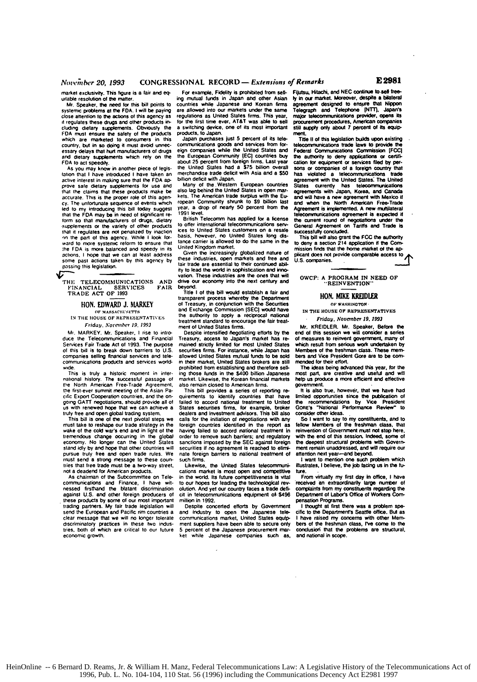### *November 20, 1993* **CONGRESSIONAL RECORD** - Extensions of Remarks

market **exclusivity. This** tigure is a fair and eq-

uditable resolution **of the** master. Mr. Speaker, the need **for** this bill points to systemic problems at the **FDA. I** will be paying close attention to the actions of this agency **as it** regulates these drugs and other products in-FDA must ensure the safety of the products. which are marketed to consumers in this country, but in so doing it must avoid unnecessary delays that **hurt** manufacturers of drugs **and** dietary supplements which rely on the

**FDA to** act speedily. **As** you may know in another piece of legislation that **I** have introduced **I** have taken **an** active interest in making sure that the **FDA aP** prove safe dietary supplements for use **and** that the claims that these products make be accurate. This is the proper role **of** this agen**cy.** The unfortunata sequence of events which led to my introducing this bill today suggest that the **FDA** may be in need **of** significant re-**form** so that manufacturers of drugs. dietary supplements or **the** variety **of** other products tral it regulates are **nor** penalized **by inaction** in the part **of** this agency. While I look Iorward to more systemic reform to ensure that !he **FDA** is more balanced and speedy in its some past actions taken by this agency by passing this legislation.

**IF-**THE **TELECOMMUNICATIONS AND FINANCIAL SERVICES** FAIR TRADE **ACT** OF **1993**

## **HON.** EDWARD **J.** ARKEY

**OF MASSACHUSETTS IN THE HOUSE OF REPRESENTATIVES** *Friduy.* Novemher **19. 1993**

**Mr.** MARKEY. Mr. Speaker. **I rise** to introduce the Telecommunications and Financial<br>Services Fair Trade Act of 1993. The purpose of this bill is to break down barriers to U.S. companies **selling** financial services and **tele**communications products and services world wide.

This is truly a historic moment in international history. The successful passage **of tie** North American Free-Trade Agreement, re first-ever summit meeting **of** the Asian Pacific Export Cooperation countries, and the on- **going GATT** negotiations, **should** provide all **of** us with renewed **hope** that we **can** achieve a truly **free** and open global trading system.

This bill is one **of** the next pivotal steps we must take to reshape our trade strategy in **the** wake **of** the cold war's end and in light of the tremendous change occurring in the global economy. No longer can the United States stand idly **by** and hope that other countries will pursue truly tree **and** open trade rules. We must send a strong message to these countries that free trade must be a two-way street. **not** a deadend **for** American products.

As chairman **of the** Subcommittee on Telecommunications and Finance, **I** have wit- nessed firsthand the blatant discrimination against **U.S.** and other foreign producers **of these** products **by** some **of** our **most** important trading partners. **My** fair trade legislation will send the European **and** Pacific rim countries a clear message that we will no longer tolerate discriminatory practices in these two indus-tries, both **of** which are critical to our future economic growth.

For example. Fidelity is prohibited from selling mutual funds in Japan **and** other Asian countries while Japanese and Korean firms are allowed into our markets under the same regulations as United States firms. This year, **for** the first time ever. AT&T was able to sell a switching device, one **0f** its most important

products. to Japan. Japan purchases just **5** percent of its tele-communications **goods** and services from for**eign** companies while the United States and the European Community **IEC** countries **buy** about **25** percent trom foreign firms. Last year the United States had **a \$75** billion overall merchandise trade deficit with Asia and a **\$50** billion deficit with Japan.

Many of the Western European countries<br>also lag behind the United States in open maralso **Lag** behind the United States in open mar. kets. The American trade surplus with the **Eu**ropean Community shrunk **to \$9** billion last year, a drop of nearly **50** percent from **the 1991** level.

British Telecomm has applied for a license to **offer** international telecormrmunications services to United States customers on a resale basis, however, no United States long dis- lance cartier is allowed to do the same in the United Kingdom market.

Given the increasingly globatized nature **of** these industries, open markets and free and lair trade are essential to their continued abil**nty** to lead the world in sophistication and inno-vation. These industries are the ones that **wil** drive our economy Into **the** next century and beyond. Title **I of** this bill would establish a **fair** and

transparent process whereby the Department **of** Treasury, in conjunction with the Securities and Exchange Commission **[SECI** would have the authority to apply a reciprocal national treatment standard to encourage the fair treatment of United States firms.<br>Despite intensified negotiating efforts by the

**Treasury, access to Japan's market has re-<br>mained strictly limited for most United States** mained strictly limited **for** most United States securities firms. **For** instance, while Japan has allowed United States mutual funds to be sold in **their** market. United States brokers are still prohibited from establishing and therefore sell-ing those funds in the \$400 billion Japanese market. Likewise, the Korean financial markets also remain closed to American **firms.**

This bill provides a series **of** reporting reguirements to identify countries that have failed to accord national treatment to United States securities firms, **for** example. bioker dealers and investment advisors. This bill also calls **for** the initiation of negotiations with any foreign countries identified in the report as having **failed** to accord national treatment in to remove such barriers; and regulatory sanctions imposed **by** the **SEC** against foreign securities if no agreement is reached to eliminate nate foreign barriers to national treatment **of** such firms.

Likewise, **the** United States telecommuni-cations **market** is most open and competitive in the world. Its future competitiveness is vital to our hopes **for** leading the technological revolution. **And** yet our country faces a trade deficit in telecommunications equipment **of \$496** million in **1992.**

Despite concerted efforts by Government and Industry to open the Japanese telecommunications **market,** United States equip- ment suppliers have been able to secure only **5** percent **of** the Japanese procurement marwhile Japanese companies such as,

**Fitursu.** Hitachi, and NEC continue to sell free**ly** in *our* market. Moreover. despite **a** bilateral reement designed to ensure that Nippon Telegraph and Telephone **INTIT. Japan's** major telecommunications provider. opens **Is** procurment procedures, American companies still supply only about **7** percent **of Its** equip- **ment**

Title II **of** this legislation **builds** upon existing teleconmmnications trade laws to provide the Federal Communications Commission **[FCCI the** authority to deny applications or **certii-**cation **for** equipment or services filed **by** persons or companies of a foreign country that has violated **a** teecomrmnicationts trade agreement with the United **States:** The United States currently has telecommunications agreements with Japan, Korea, *and* Canada and will have a new agreement with Mexico **if** and when the North American Free-Trade Agreement is implemented. A new multilateral teleconmmunicatior agreement **is** expected it the current round **of** negotiations wider **the** General Agreement on Tariffs and Trade is **successfully concluded.** successfully concluded.<br>This bill will also grant the FCC the authority

to deny a section **214** application it **the Com-** riission **finds** that **the** home **market** of the applicant does not provide comparable access to **A**<br>U.S. companies.

# OWCP: **A** PROGRAM **IN NEED** OF **"REINVENTION'"**

#### **HON. MIKE KREIDLER**

**OF WASHINOTOM tN** THE **HOUSE** OF REPRESENTATIVES

*Friday. Noverbrer* **19. 1993**

Mr. KREIDLER. Mr. Speaker, **Before** the **end of** this session we will consider a series **of** measures to reinvent government, many **of** which result from serious work undertaken **by** Members **of** the freshman class. These **mem**bars and Vice President Gore are to **be com-**

The ideas being advanced this year, for the most part, are creative **and** usefu **and** will help us produce a more efficient **and** effective govemment.

**It** is also true. however, that we have had limited opportunities since the pinlication **of** the recommendations by Vice President GORE's **"National** Performance Review" to consider other ideas.

So **I** want to say to **my** constituents, and to **fellow** Members **of** the **freshman** class. **that** with the end of this session, Indeed, some of<br>the deepest structural problems with Government remain unaddressed. **and** will require our

attention next year--and beyond. I want to mention one such problem which ttustrates, **I** believe, the job facing us in **the** tu**ture.**

From virtualy my first day in office, **I** have received an extraordinarily large number of complaints from my constituents regarding **the** Department **of** Labor's Office *of* Workers **Com**pensation Programs.

**I** thought at first there was a problem specific to the Department's Seattle office. But as **I** have raised **my** concerns with other Mem**bers** of the freshman class, I've come to the conclusleoi **that** the problems are structural. and national in scope.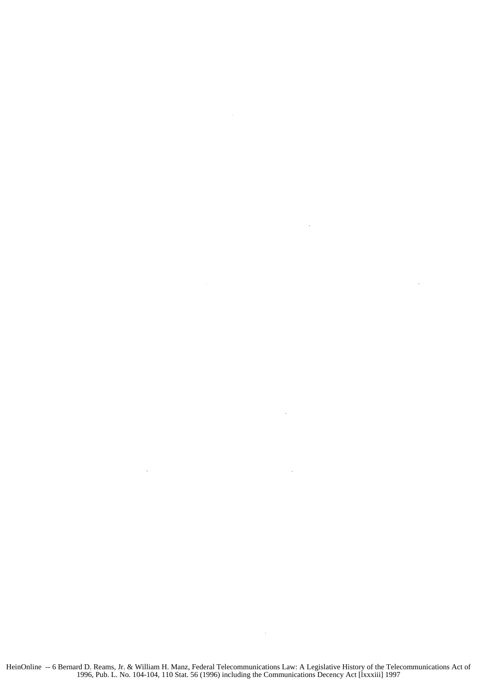HeinOnline -- 6 Bernard D. Reams, Jr. & William H. Manz, Federal Telecommunications Law: A Legislative History of the Telecommunications Act of 1996, Pub. L. No. 104-104, 110 Stat. 56 (1996) including the Communications Decency Act [lxxxiii] 1997

 $\sim 10^6$ 

 $\sim$   $\sim$ 

 $\sim$   $\sim$ 

 $\hat{\boldsymbol{\beta}}$ 

 $\sim$ 

 $\ddot{\phantom{a}}$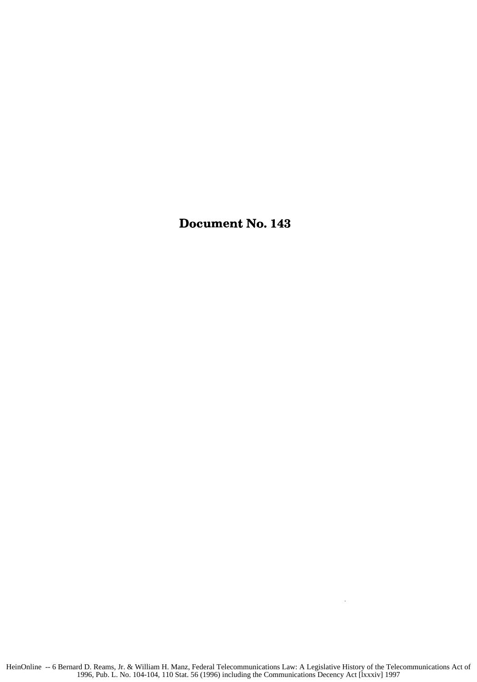Document No. 143